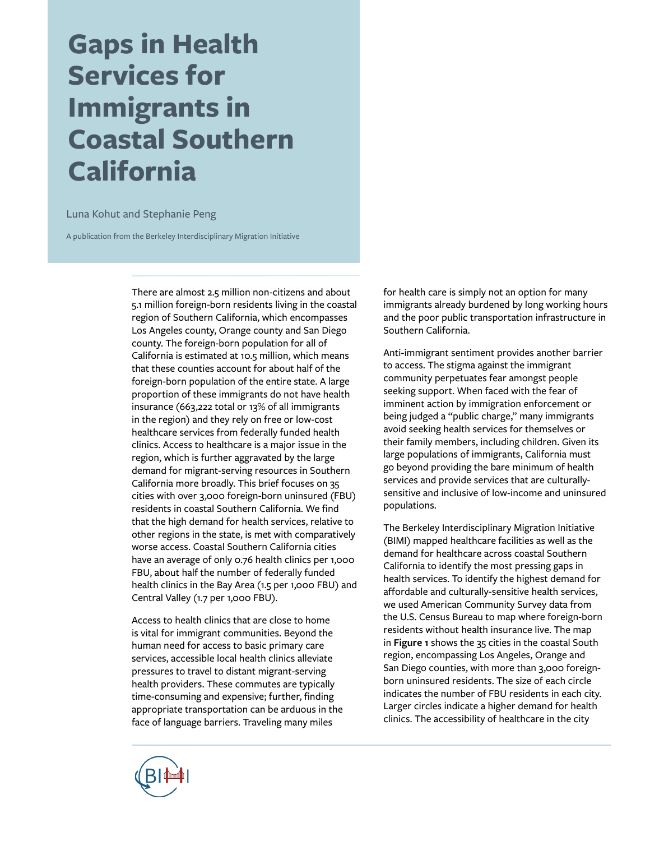# **Gaps in Health Services for Immigrants in Coastal Southern California**

#### Luna Kohut and Stephanie Peng

A publication from the Berkeley Interdisciplinary Migration Initiative

There are almost 2.5 million non-citizens and about 5.1 million foreign-born residents living in the coastal region of Southern California, which encompasses Los Angeles county, Orange county and San Diego county. The foreign-born population for all of California is estimated at 10.5 million, which means that these counties account for about half of the foreign-born population of the entire state. A large proportion of these immigrants do not have health insurance (663,222 total or 13% of all immigrants in the region) and they rely on free or low-cost healthcare services from federally funded health clinics. Access to healthcare is a major issue in the region, which is further aggravated by the large demand for migrant-serving resources in Southern California more broadly. This brief focuses on 35 cities with over 3,000 foreign-born uninsured (FBU) residents in coastal Southern California. We find that the high demand for health services, relative to other regions in the state, is met with comparatively worse access. Coastal Southern California cities have an average of only 0.76 health clinics per 1,000 FBU, about half the number of federally funded health clinics in the Bay Area (1.5 per 1,000 FBU) and Central Valley (1.7 per 1,000 FBU).

Access to health clinics that are close to home is vital for immigrant communities. Beyond the human need for access to basic primary care services, accessible local health clinics alleviate pressures to travel to distant migrant-serving health providers. These commutes are typically time-consuming and expensive; further, finding appropriate transportation can be arduous in the face of language barriers. Traveling many miles

for health care is simply not an option for many immigrants already burdened by long working hours and the poor public transportation infrastructure in Southern California.

Anti-immigrant sentiment provides another barrier to access. The stigma against the immigrant community perpetuates fear amongst people seeking support. When faced with the fear of imminent action by immigration enforcement or being judged a "public charge," many immigrants avoid seeking health services for themselves or their family members, including children. Given its large populations of immigrants, California must go beyond providing the bare minimum of health services and provide services that are culturallysensitive and inclusive of low-income and uninsured populations.

The Berkeley Interdisciplinary Migration Initiative (BIMI) mapped healthcare facilities as well as the demand for healthcare across coastal Southern California to identify the most pressing gaps in health services. To identify the highest demand for affordable and culturally-sensitive health services, we used American Community Survey data from the U.S. Census Bureau to map where foreign-born residents without health insurance live. The map in **Figure 1** shows the 35 cities in the coastal South region, encompassing Los Angeles, Orange and San Diego counties, with more than 3,000 foreignborn uninsured residents. The size of each circle indicates the number of FBU residents in each city. Larger circles indicate a higher demand for health clinics. The accessibility of healthcare in the city

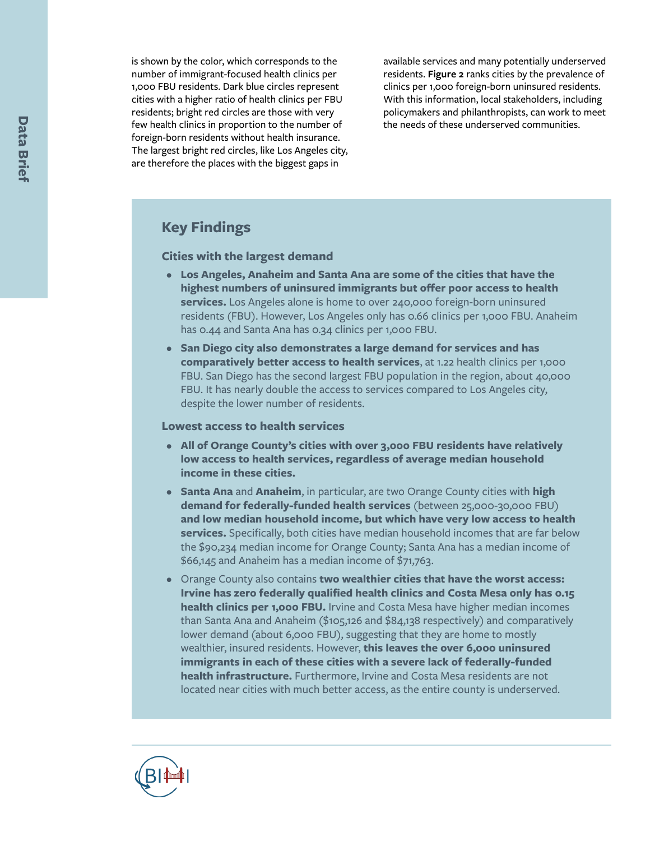is shown by the color, which corresponds to the number of immigrant-focused health clinics per 1,000 FBU residents. Dark blue circles represent cities with a higher ratio of health clinics per FBU residents; bright red circles are those with very few health clinics in proportion to the number of foreign-born residents without health insurance. The largest bright red circles, like Los Angeles city, are therefore the places with the biggest gaps in

available services and many potentially underserved residents. **Figure 2** ranks cities by the prevalence of clinics per 1,000 foreign-born uninsured residents. With this information, local stakeholders, including policymakers and philanthropists, can work to meet the needs of these underserved communities.

# **Key Findings**

#### **Cities with the largest demand**

- **Los Angeles, Anaheim and Santa Ana are some of the cities that have the highest numbers of uninsured immigrants but offer poor access to health services.** Los Angeles alone is home to over 240,000 foreign-born uninsured residents (FBU). However, Los Angeles only has 0.66 clinics per 1,000 FBU. Anaheim has 0.44 and Santa Ana has 0.34 clinics per 1,000 FBU.
- **San Diego city also demonstrates a large demand for services and has comparatively better access to health services**, at 1.22 health clinics per 1,000 FBU. San Diego has the second largest FBU population in the region, about 40,000 FBU. It has nearly double the access to services compared to Los Angeles city, despite the lower number of residents.

#### **Lowest access to health services**

- **All of Orange County's cities with over 3,000 FBU residents have relatively low access to health services, regardless of average median household income in these cities.**
- **Santa Ana** and **Anaheim**, in particular, are two Orange County cities with **high demand for federally-funded health services** (between 25,000-30,000 FBU) **and low median household income, but which have very low access to health services.** Specifically, both cities have median household incomes that are far below the \$90,234 median income for Orange County; Santa Ana has a median income of \$66,145 and Anaheim has a median income of \$71,763.
- Orange County also contains **two wealthier cities that have the worst access: Irvine has zero federally qualified health clinics and Costa Mesa only has 0.15 health clinics per 1,000 FBU.** Irvine and Costa Mesa have higher median incomes than Santa Ana and Anaheim (\$105,126 and \$84,138 respectively) and comparatively lower demand (about 6,000 FBU), suggesting that they are home to mostly wealthier, insured residents. However, **this leaves the over 6,000 uninsured immigrants in each of these cities with a severe lack of federally-funded health infrastructure.** Furthermore, Irvine and Costa Mesa residents are not located near cities with much better access, as the entire county is underserved.

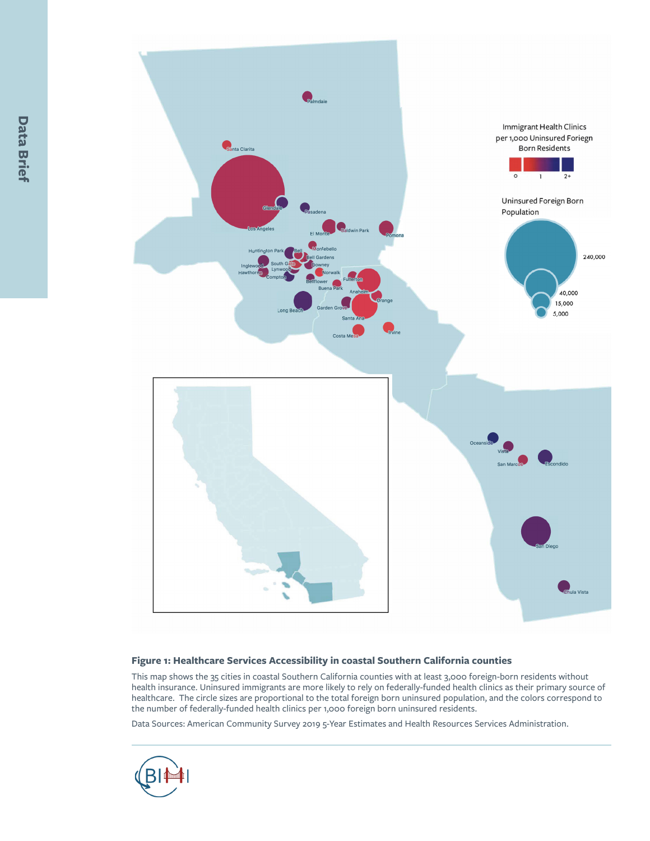

#### **Figure 1: Healthcare Services Accessibility in coastal Southern California counties**

This map shows the 35 cities in coastal Southern California counties with at least 3,000 foreign-born residents without health insurance. Uninsured immigrants are more likely to rely on federally-funded health clinics as their primary source of healthcare. The circle sizes are proportional to the total foreign born uninsured population, and the colors correspond to the number of federally-funded health clinics per 1,000 foreign born uninsured residents.

Data Sources: American Community Survey 2019 5-Year Estimates and Health Resources Services Administration.

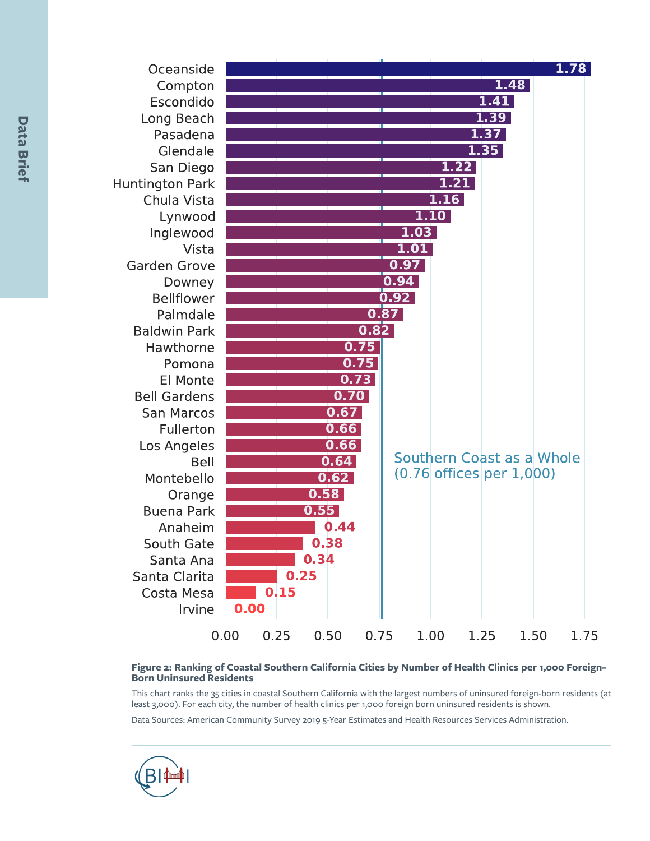| Oceanside              |                      |                               | 1.78                      |
|------------------------|----------------------|-------------------------------|---------------------------|
| Compton                |                      |                               | 1.48                      |
| Escondido              |                      |                               | 1.41                      |
| Long Beach             |                      |                               | 1.39                      |
| Pasadena               |                      |                               | 1.37                      |
| Glendale               |                      |                               | 1.35                      |
| San Diego              |                      | 1.22                          |                           |
| <b>Huntington Park</b> |                      | 1.21                          |                           |
| Chula Vista            |                      | 1.16                          |                           |
| Lynwood                |                      | 1.10                          |                           |
| Inglewood              |                      | 1.03                          |                           |
| Vista                  |                      | 1.01                          |                           |
| <b>Garden Grove</b>    |                      | 0.97                          |                           |
| Downey                 |                      | 0.94                          |                           |
| <b>Bellflower</b>      |                      | 0.92                          |                           |
| Palmdale               |                      | 0.87                          |                           |
| <b>Baldwin Park</b>    | 0.82                 |                               |                           |
| Hawthorne              | 0.75                 |                               |                           |
| Pomona                 | 0.75                 |                               |                           |
| El Monte               | 0.73                 |                               |                           |
| <b>Bell Gardens</b>    | 0.70                 |                               |                           |
| <b>San Marcos</b>      | 0.67                 |                               |                           |
| Fullerton              | 0.66                 |                               |                           |
| Los Angeles            | 0.66                 |                               |                           |
| <b>Bell</b>            | 0.64                 | $(0.76$ offices per $1,000$ ) | Southern Coast as a Whole |
| Montebello             | 0.62                 |                               |                           |
| Orange                 | 0.58                 |                               |                           |
| <b>Buena Park</b>      | 0.55                 |                               |                           |
| Anaheim                | 0.44                 |                               |                           |
| South Gate             | 0.38                 |                               |                           |
| Santa Ana              | 0.34                 |                               |                           |
| Santa Clarita          | 0.25                 |                               |                           |
| Costa Mesa             | 0.15                 |                               |                           |
| Irvine                 | 0.00                 |                               |                           |
|                        | 0.00<br>0.50<br>0.25 | 1.00<br>0.75                  | 1.25<br>1.50<br>1.75      |

#### **Figure 2: Ranking of Coastal Southern California Cities by Number of Health Clinics per 1,000 Foreign-Born Uninsured Residents**

This chart ranks the 35 cities in coastal Southern California with the largest numbers of uninsured foreign-born residents (at least 3,000). For each city, the number of health clinics per 1,000 foreign born uninsured residents is shown.

Data Sources: American Community Survey 2019 5-Year Estimates and Health Resources Services Administration.



-2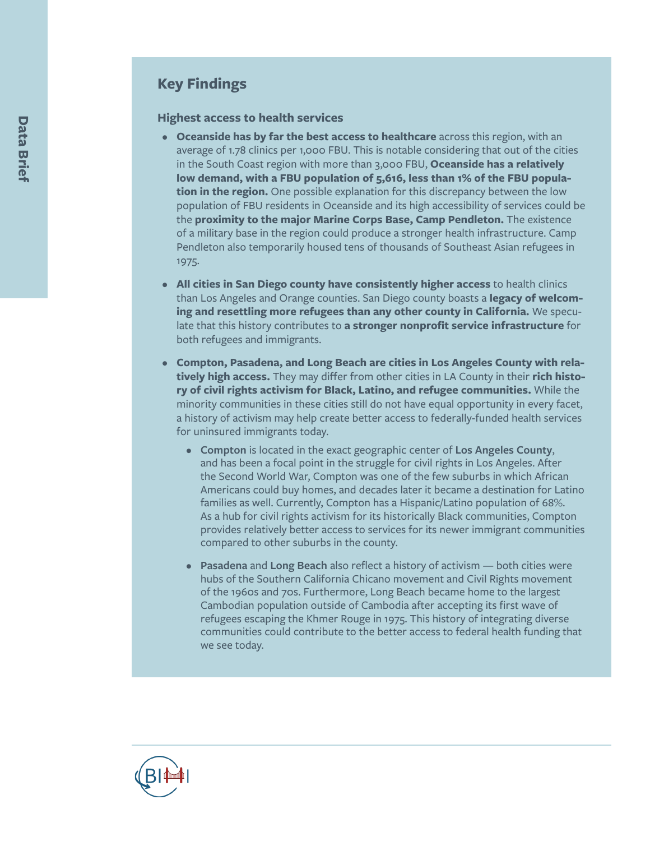# **Key Findings**

#### **Highest access to health services**

- **• Oceanside has by far the best access to healthcare** across this region, with an average of 1.78 clinics per 1,000 FBU. This is notable considering that out of the cities in the South Coast region with more than 3,000 FBU, **Oceanside has a relatively low demand, with a FBU population of 5,616, less than 1% of the FBU population in the region.** One possible explanation for this discrepancy between the low population of FBU residents in Oceanside and its high accessibility of services could be the **proximity to the major Marine Corps Base, Camp Pendleton.** The existence of a military base in the region could produce a stronger health infrastructure. Camp Pendleton also temporarily housed tens of thousands of Southeast Asian refugees in 1975.
- **• All cities in San Diego county have consistently higher access** to health clinics than Los Angeles and Orange counties. San Diego county boasts a **legacy of welcoming and resettling more refugees than any other county in California.** We speculate that this history contributes to **a stronger nonprofit service infrastructure** for both refugees and immigrants.
- **• Compton, Pasadena, and Long Beach are cities in Los Angeles County with relatively high access.** They may differ from other cities in LA County in their **rich history of civil rights activism for Black, Latino, and refugee communities.** While the minority communities in these cities still do not have equal opportunity in every facet, a history of activism may help create better access to federally-funded health services for uninsured immigrants today.
	- **Compton** is located in the exact geographic center of **Los Angeles County**, and has been a focal point in the struggle for civil rights in Los Angeles. After the Second World War, Compton was one of the few suburbs in which African Americans could buy homes, and decades later it became a destination for Latino families as well. Currently, Compton has a Hispanic/Latino population of 68%. As a hub for civil rights activism for its historically Black communities, Compton provides relatively better access to services for its newer immigrant communities compared to other suburbs in the county.
	- **Pasadena** and **Long Beach** also reflect a history of activism both cities were hubs of the Southern California Chicano movement and Civil Rights movement of the 1960s and 70s. Furthermore, Long Beach became home to the largest Cambodian population outside of Cambodia after accepting its first wave of refugees escaping the Khmer Rouge in 1975. This history of integrating diverse communities could contribute to the better access to federal health funding that we see today.

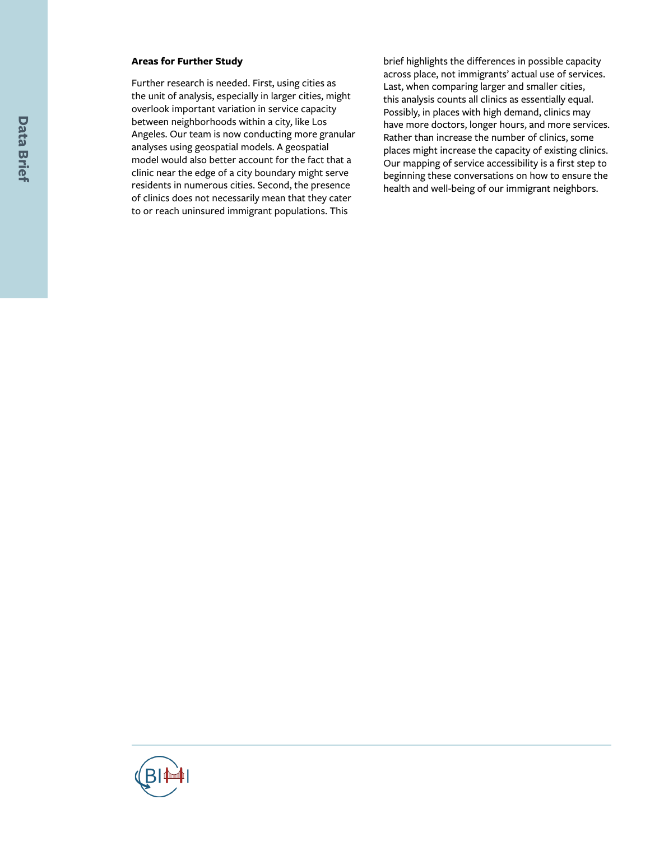#### **Areas for Further Study**

Further research is needed. First, using cities as the unit of analysis, especially in larger cities, might overlook important variation in service capacity between neighborhoods within a city, like Los Angeles. Our team is now conducting more granular analyses using geospatial models. A geospatial model would also better account for the fact that a clinic near the edge of a city boundary might serve residents in numerous cities. Second, the presence of clinics does not necessarily mean that they cater to or reach uninsured immigrant populations. This

brief highlights the differences in possible capacity across place, not immigrants' actual use of services. Last, when comparing larger and smaller cities, this analysis counts all clinics as essentially equal. Possibly, in places with high demand, clinics may have more doctors, longer hours, and more services. Rather than increase the number of clinics, some places might increase the capacity of existing clinics. Our mapping of service accessibility is a first step to beginning these conversations on how to ensure the health and well-being of our immigrant neighbors.